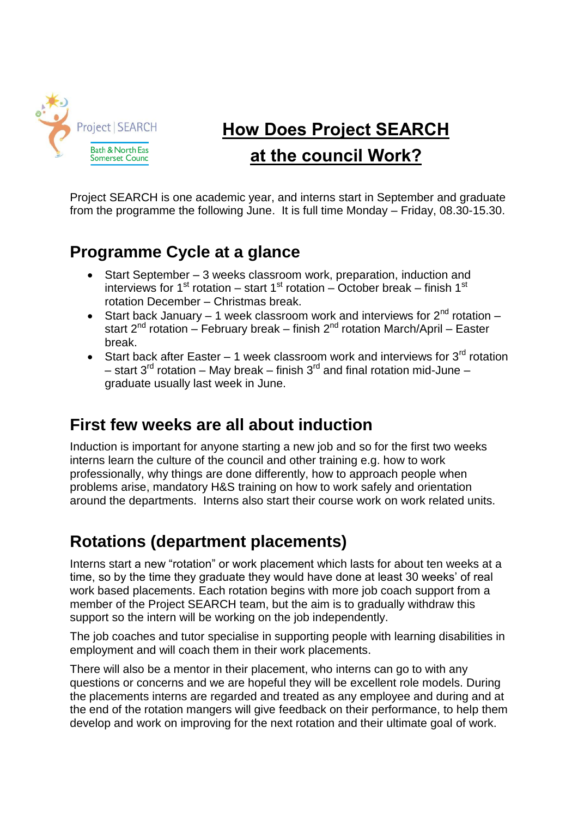

# **How Does Project SEARCH at the council Work?**

Project SEARCH is one academic year, and interns start in September and graduate from the programme the following June. It is full time Monday – Friday, 08.30-15.30.

#### **Programme Cycle at a glance**

- Start September 3 weeks classroom work, preparation, induction and interviews for 1<sup>st</sup> rotation – start 1<sup>st</sup> rotation – October break – finish 1<sup>st</sup> rotation December – Christmas break.
- Start back January 1 week classroom work and interviews for  $2^{nd}$  rotation start  $2^{nd}$  rotation – February break – finish  $2^{nd}$  rotation March/April – Easter break.
- Start back after Easter 1 week classroom work and interviews for  $3^{\text{rd}}$  rotation – start  $3^{rd}$  rotation – May break – finish  $3^{rd}$  and final rotation mid-June – graduate usually last week in June.

#### **First few weeks are all about induction**

Induction is important for anyone starting a new job and so for the first two weeks interns learn the culture of the council and other training e.g. how to work professionally, why things are done differently, how to approach people when problems arise, mandatory H&S training on how to work safely and orientation around the departments. Interns also start their course work on work related units.

## **Rotations (department placements)**

Interns start a new "rotation" or work placement which lasts for about ten weeks at a time, so by the time they graduate they would have done at least 30 weeks' of real work based placements. Each rotation begins with more job coach support from a member of the Project [SEARCH](http://projectsearchbradford.org.uk/about-us/job-coaches-tutors/) team, but the aim is to gradually withdraw this support so the intern will be working on the job independently.

The job coaches and tutor specialise in supporting people with learning disabilities in employment and will coach them in their work placements.

There will also be a mentor in their placement, who interns can go to with any questions or concerns and we are hopeful they will be excellent role models. During the placements interns are regarded and treated as any employee and during and at the end of the rotation mangers will give feedback on their performance, to help them develop and work on improving for the next rotation and their ultimate goal of work.